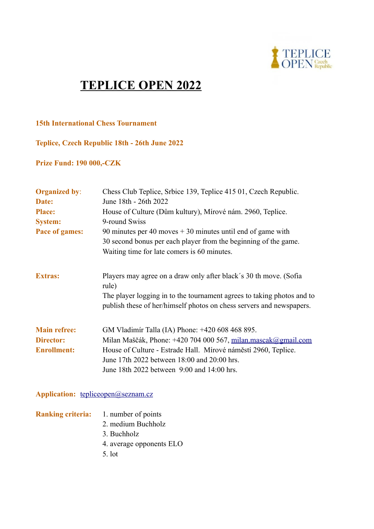

# **TEPLICE OPEN 2022**

#### **15th International Chess Tournament**

**Teplice, Czech Republic 18th - 26th June 2022**

**Prize Fund: 190 000,-CZK**

| <b>Organized by:</b><br>Date:<br><b>Place:</b><br><b>System:</b><br>Pace of games: | Chess Club Teplice, Srbice 139, Teplice 415 01, Czech Republic.<br>June 18th - 26th 2022<br>House of Culture (Dům kultury), Mírové nám. 2960, Teplice.<br>9-round Swiss<br>90 minutes per 40 moves $+30$ minutes until end of game with<br>30 second bonus per each player from the beginning of the game.<br>Waiting time for late comers is 60 minutes. |
|------------------------------------------------------------------------------------|-----------------------------------------------------------------------------------------------------------------------------------------------------------------------------------------------------------------------------------------------------------------------------------------------------------------------------------------------------------|
| <b>Extras:</b>                                                                     | Players may agree on a draw only after black's 30 th move. (Sofia<br>rule)<br>The player logging in to the tournament agrees to taking photos and to<br>publish these of her/himself photos on chess servers and newspapers.                                                                                                                              |
| <b>Main refree:</b><br><b>Director:</b><br><b>Enrollment:</b>                      | GM Vladimír Talla (IA) Phone: +420 608 468 895.<br>Milan Maščák, Phone: +420 704 000 567, milan mascak@gmail.com<br>House of Culture - Estrade Hall. Mírové náměstí 2960, Teplice.<br>June 17th 2022 between 18:00 and 20:00 hrs.<br>June 18th 2022 between 9:00 and 14:00 hrs.                                                                           |

### Application: [tepliceopen@seznam.cz](mailto:tepliceopen@seznam.cz)

- **Ranking criteria:** 1. number of points 2. medium Buchholz 3. Buchholz
	- 4. average opponents ELO
	- 5. lot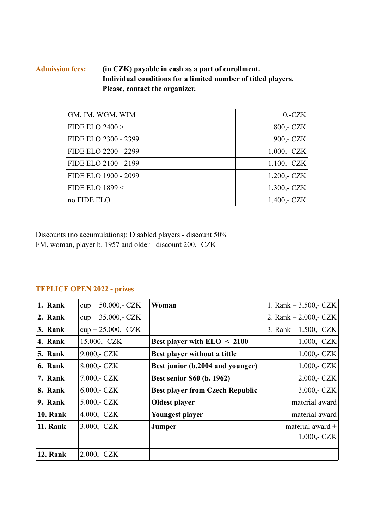#### **Admission fees: (in CZK) payable in cash as a part of enrollment. Individual conditions for a limited number of titled players. Please, contact the organizer.**

| GM, IM, WGM, WIM     | $0, -CZK$     |
|----------------------|---------------|
| FIDE ELO $2400 >$    | 800,- CZK     |
| FIDE ELO 2300 - 2399 | 900,- CZK     |
| FIDE ELO 2200 - 2299 | $1.000 - CZK$ |
| FIDE ELO 2100 - 2199 | $1.100 - CZK$ |
| FIDE ELO 1900 - 2099 | $1.200 - CZK$ |
| FIDE ELO $1899 <$    | $1.300 - CZK$ |
| no FIDE ELO          | 1.400,- $CZK$ |

Discounts (no accumulations): Disabled players - discount 50% FM, woman, player b. 1957 and older - discount 200,- CZK

## **TEPLICE OPEN 2022 - prizes**

| 1. Rank         | $cup + 50.000 - CZK$ | Woman                                  | 1. Rank $-3.500$ , $CZK$  |
|-----------------|----------------------|----------------------------------------|---------------------------|
| 2. Rank         | $cup + 35.000 - CZK$ |                                        | 2. Rank $- 2.000, - CZK$  |
| 3. Rank         | $cup + 25.000 - CZK$ |                                        | 3. Rank $- 1.500$ , $CZK$ |
| 4. Rank         | 15.000,- CZK         | Best player with $ELO < 2100$          | $1.000 - CZK$             |
| 5. Rank         | $9.000 - CZK$        | Best player without a tittle           | $1.000 - CZK$             |
| 6. Rank         | 8.000,- CZK          | Best junior (b.2004 and younger)       | $1.000 - CZK$             |
| 7. Rank         | $7.000 - CZK$        | <b>Best senior S60 (b. 1962)</b>       | $2.000 - CZK$             |
| 8. Rank         | $6.000 - CZK$        | <b>Best player from Czech Republic</b> | $3.000 - CZK$             |
| 9. Rank         | $5.000 - CZK$        | <b>Oldest player</b>                   | material award            |
| <b>10. Rank</b> | $4.000 - CZK$        | <b>Youngest player</b>                 | material award            |
| <b>11. Rank</b> | $3.000 - CZK$        | Jumper                                 | material award +          |
|                 |                      |                                        | $1.000 - CZK$             |
| <b>12. Rank</b> | $2.000 - CZK$        |                                        |                           |